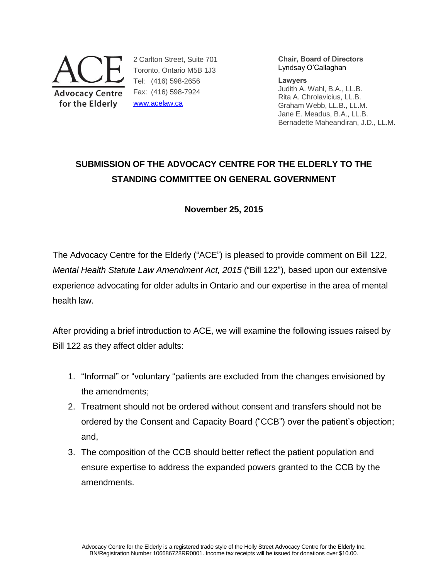

2 Carlton Street, Suite 701 Toronto, Ontario M5B 1J3 Tel: (416) 598-2656 Fax: (416) 598-7924 [www.acelaw.ca](http://www.acelaw.ca/)

**Chair, Board of Directors** Lyndsay O'Callaghan

**Lawyers** Judith A. Wahl, B.A., LL.B. Rita A. Chrolavicius, LL.B. Graham Webb, LL.B., LL.M. Jane E. Meadus, B.A., LL.B. Bernadette Maheandiran, J.D., LL.M.

# **SUBMISSION OF THE ADVOCACY CENTRE FOR THE ELDERLY TO THE STANDING COMMITTEE ON GENERAL GOVERNMENT**

**November 25, 2015** 

The Advocacy Centre for the Elderly ("ACE") is pleased to provide comment on Bill 122, *Mental Health Statute Law Amendment Act, 2015* ("Bill 122")*,* based upon our extensive experience advocating for older adults in Ontario and our expertise in the area of mental health law.

After providing a brief introduction to ACE, we will examine the following issues raised by Bill 122 as they affect older adults:

- 1. "Informal" or "voluntary "patients are excluded from the changes envisioned by the amendments;
- 2. Treatment should not be ordered without consent and transfers should not be ordered by the Consent and Capacity Board ("CCB") over the patient's objection; and,
- 3. The composition of the CCB should better reflect the patient population and ensure expertise to address the expanded powers granted to the CCB by the amendments.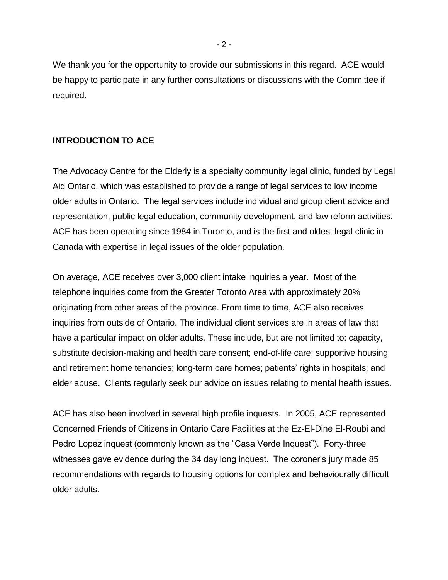We thank you for the opportunity to provide our submissions in this regard. ACE would be happy to participate in any further consultations or discussions with the Committee if required.

#### **INTRODUCTION TO ACE**

The Advocacy Centre for the Elderly is a specialty community legal clinic, funded by Legal Aid Ontario, which was established to provide a range of legal services to low income older adults in Ontario. The legal services include individual and group client advice and representation, public legal education, community development, and law reform activities. ACE has been operating since 1984 in Toronto, and is the first and oldest legal clinic in Canada with expertise in legal issues of the older population.

On average, ACE receives over 3,000 client intake inquiries a year. Most of the telephone inquiries come from the Greater Toronto Area with approximately 20% originating from other areas of the province. From time to time, ACE also receives inquiries from outside of Ontario. The individual client services are in areas of law that have a particular impact on older adults. These include, but are not limited to: capacity, substitute decision-making and health care consent; end-of-life care; supportive housing and retirement home tenancies; long-term care homes; patients' rights in hospitals; and elder abuse. Clients regularly seek our advice on issues relating to mental health issues.

ACE has also been involved in several high profile inquests. In 2005, ACE represented Concerned Friends of Citizens in Ontario Care Facilities at the Ez-El-Dine El-Roubi and Pedro Lopez inquest (commonly known as the "Casa Verde Inquest"). Forty-three witnesses gave evidence during the 34 day long inquest. The coroner's jury made 85 recommendations with regards to housing options for complex and behaviourally difficult older adults.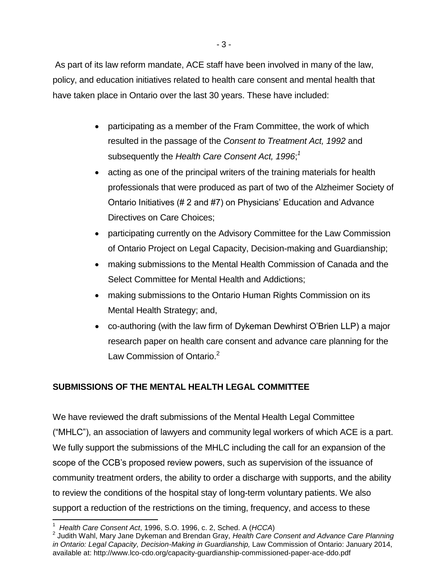As part of its law reform mandate, ACE staff have been involved in many of the law, policy, and education initiatives related to health care consent and mental health that have taken place in Ontario over the last 30 years. These have included:

- participating as a member of the Fram Committee, the work of which resulted in the passage of the *Consent to Treatment Act, 1992* and subsequently the *Health Care Consent Act, 1996*; *1*
- <span id="page-2-0"></span> acting as one of the principal writers of the training materials for health professionals that were produced as part of two of the Alzheimer Society of Ontario Initiatives (# 2 and #7) on Physicians' Education and Advance Directives on Care Choices;
- participating currently on the Advisory Committee for the Law Commission of Ontario Project on Legal Capacity, Decision-making and Guardianship;
- making submissions to the Mental Health Commission of Canada and the Select Committee for Mental Health and Addictions;
- making submissions to the Ontario Human Rights Commission on its Mental Health Strategy; and,
- co-authoring (with the law firm of Dykeman Dewhirst O'Brien LLP) a major research paper on health care consent and advance care planning for the Law Commission of Ontario.<sup>2</sup>

# **SUBMISSIONS OF THE MENTAL HEALTH LEGAL COMMITTEE**

We have reviewed the draft submissions of the Mental Health Legal Committee ("MHLC"), an association of lawyers and community legal workers of which ACE is a part. We fully support the submissions of the MHLC including the call for an expansion of the scope of the CCB's proposed review powers, such as supervision of the issuance of community treatment orders, the ability to order a discharge with supports, and the ability to review the conditions of the hospital stay of long-term voluntary patients. We also support a reduction of the restrictions on the timing, frequency, and access to these

 $\overline{a}$ 1 *Health Care Consent Act*, 1996, S.O. 1996, c. 2, Sched. A (*HCCA*)

<sup>2</sup> Judith Wahl, Mary Jane Dykeman and Brendan Gray, *Health Care Consent and Advance Care Planning in Ontario: Legal Capacity, Decision-Making in Guardianship,* Law Commission of Ontario: January 2014, available at: http://www.lco-cdo.org/capacity-guardianship-commissioned-paper-ace-ddo.pdf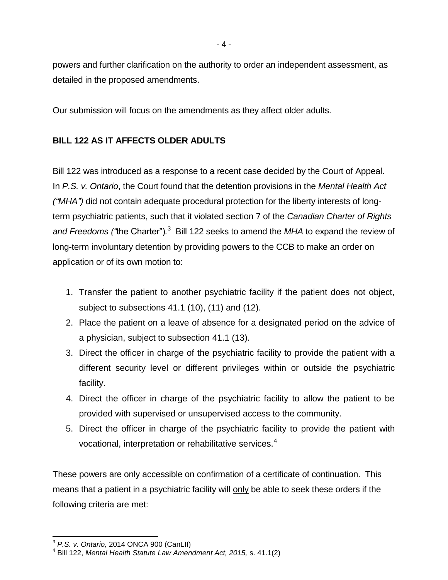powers and further clarification on the authority to order an independent assessment, as detailed in the proposed amendments.

Our submission will focus on the amendments as they affect older adults.

# **BILL 122 AS IT AFFECTS OLDER ADULTS**

Bill 122 was introduced as a response to a recent case decided by the Court of Appeal. In *P.S. v. Ontario*, the Court found that the detention provisions in the *Mental Health Act ("MHA")* did not contain adequate procedural protection for the liberty interests of longterm psychiatric patients, such that it violated section 7 of the *Canadian Charter of Rights and Freedoms ("*the Charter")*.* 3 Bill 122 seeks to amend the *MHA* to expand the review of long-term involuntary detention by providing powers to the CCB to make an order on application or of its own motion to:

- 1. Transfer the patient to another psychiatric facility if the patient does not object, subject to subsections 41.1 (10), (11) and (12).
- 2. Place the patient on a leave of absence for a designated period on the advice of a physician, subject to subsection 41.1 (13).
- 3. Direct the officer in charge of the psychiatric facility to provide the patient with a different security level or different privileges within or outside the psychiatric facility.
- 4. Direct the officer in charge of the psychiatric facility to allow the patient to be provided with supervised or unsupervised access to the community.
- <span id="page-3-0"></span>5. Direct the officer in charge of the psychiatric facility to provide the patient with vocational, interpretation or rehabilitative services.<sup>4</sup>

These powers are only accessible on confirmation of a certificate of continuation. This means that a patient in a psychiatric facility will only be able to seek these orders if the following criteria are met:

 $\overline{\phantom{a}}$ 3 *P.S. v. Ontario,* 2014 ONCA 900 (CanLII)

<sup>4</sup> Bill 122, *Mental Health Statute Law Amendment Act, 2015,* s. 41.1(2)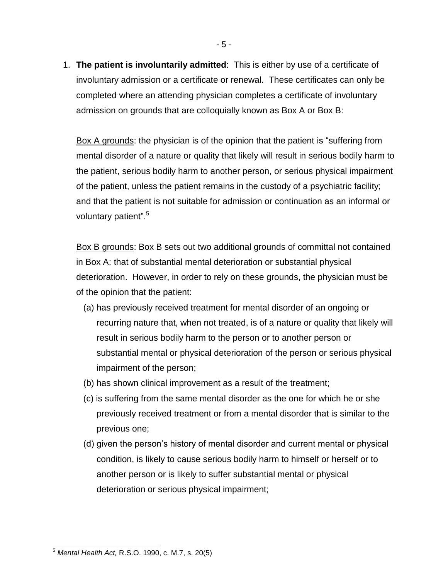1. **The patient is involuntarily admitted**: This is either by use of a certificate of involuntary admission or a certificate or renewal. These certificates can only be completed where an attending physician completes a certificate of involuntary admission on grounds that are colloquially known as Box A or Box B:

Box A grounds: the physician is of the opinion that the patient is "suffering from mental disorder of a nature or quality that likely will result in serious bodily harm to the patient, serious bodily harm to another person, or serious physical impairment of the patient, unless the patient remains in the custody of a psychiatric facility; and that the patient is not suitable for admission or continuation as an informal or voluntary patient".<sup>5</sup>

<span id="page-4-0"></span>Box B grounds: Box B sets out two additional grounds of committal not contained in Box A: that of substantial mental deterioration or substantial physical deterioration. However, in order to rely on these grounds, the physician must be of the opinion that the patient:

- (a) has previously received treatment for mental disorder of an ongoing or recurring nature that, when not treated, is of a nature or quality that likely will result in serious bodily harm to the person or to another person or substantial mental or physical deterioration of the person or serious physical impairment of the person;
- (b) has shown clinical improvement as a result of the treatment;
- (c) is suffering from the same mental disorder as the one for which he or she previously received treatment or from a mental disorder that is similar to the previous one;
- (d) given the person's history of mental disorder and current mental or physical condition, is likely to cause serious bodily harm to himself or herself or to another person or is likely to suffer substantial mental or physical deterioration or serious physical impairment;

 <sup>5</sup> *Mental Health Act,* R.S.O. 1990, c. M.7, s. 20(5)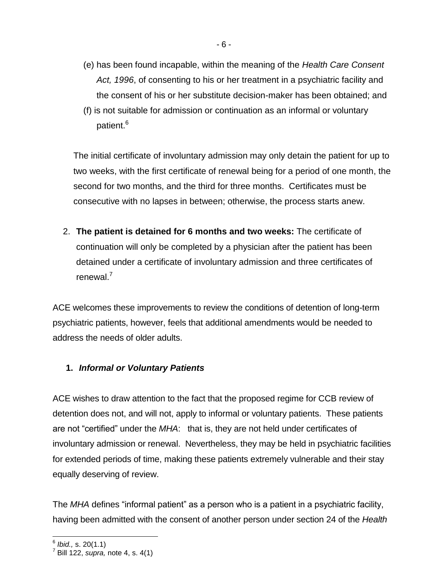- (e) has been found incapable, within the meaning of the *Health Care Consent Act, 1996*, of consenting to his or her treatment in a psychiatric facility and the consent of his or her substitute decision-maker has been obtained; and
- (f) is not suitable for admission or continuation as an informal or voluntary patient.<sup>6</sup>

The initial certificate of involuntary admission may only detain the patient for up to two weeks, with the first certificate of renewal being for a period of one month, the second for two months, and the third for three months. Certificates must be consecutive with no lapses in between; otherwise, the process starts anew.

2. **The patient is detained for 6 months and two weeks:** The certificate of continuation will only be completed by a physician after the patient has been detained under a certificate of involuntary admission and three certificates of renewal.<sup>7</sup>

ACE welcomes these improvements to review the conditions of detention of long-term psychiatric patients, however, feels that additional amendments would be needed to address the needs of older adults.

# **1.** *Informal or Voluntary Patients*

ACE wishes to draw attention to the fact that the proposed regime for CCB review of detention does not, and will not, apply to informal or voluntary patients. These patients are not "certified" under the *MHA*: that is, they are not held under certificates of involuntary admission or renewal. Nevertheless, they may be held in psychiatric facilities for extended periods of time, making these patients extremely vulnerable and their stay equally deserving of review.

The *MHA* defines "informal patient" as a person who is a patient in a psychiatric facility, having been admitted with the consent of another person under section 24 of the *Health* 

 6 *Ibid.,* s. 20(1.1)

<sup>7</sup> Bill 122, *supra,* note [4,](#page-3-0) s. 4(1)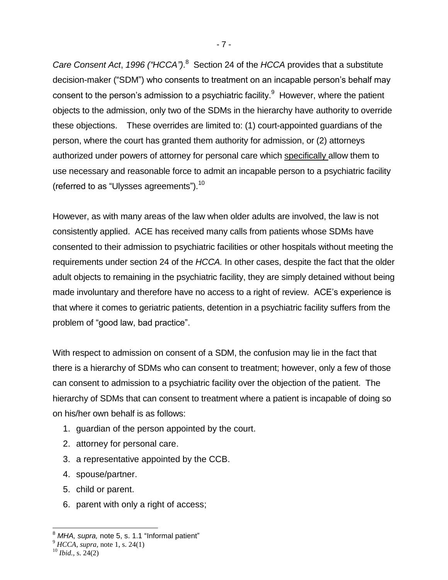Care Consent Act, 1996 ("HCCA").<sup>8</sup> Section 24 of the *HCCA* provides that a substitute decision-maker ("SDM") who consents to treatment on an incapable person's behalf may consent to the person's admission to a psychiatric facility. $9$  However, where the patient objects to the admission, only two of the SDMs in the hierarchy have authority to override these objections. These overrides are limited to: (1) court-appointed guardians of the person, where the court has granted them authority for admission, or (2) attorneys authorized under powers of attorney for personal care which specifically allow them to use necessary and reasonable force to admit an incapable person to a psychiatric facility (referred to as "Ulysses agreements").<sup>10</sup>

However, as with many areas of the law when older adults are involved, the law is not consistently applied. ACE has received many calls from patients whose SDMs have consented to their admission to psychiatric facilities or other hospitals without meeting the requirements under section 24 of the *HCCA.* In other cases, despite the fact that the older adult objects to remaining in the psychiatric facility, they are simply detained without being made involuntary and therefore have no access to a right of review. ACE's experience is that where it comes to geriatric patients, detention in a psychiatric facility suffers from the problem of "good law, bad practice".

With respect to admission on consent of a SDM, the confusion may lie in the fact that there is a hierarchy of SDMs who can consent to treatment; however, only a few of those can consent to admission to a psychiatric facility over the objection of the patient. The hierarchy of SDMs that can consent to treatment where a patient is incapable of doing so on his/her own behalf is as follows:

- 1. guardian of the person appointed by the court.
- 2. attorney for personal care.
- 3. a representative appointed by the CCB.
- 4. spouse/partner.
- 5. child or parent.
- 6. parent with only a right of access;

 $\overline{a}$ 

- 7 -

<sup>8</sup> *MHA, supra,* note [5,](#page-4-0) s. 1.1 "Informal patient"

<sup>9</sup> *HCCA, supra,* note [1,](#page-2-0) s. 24(1)

 $10$  *Ibid.*, s. 24(2)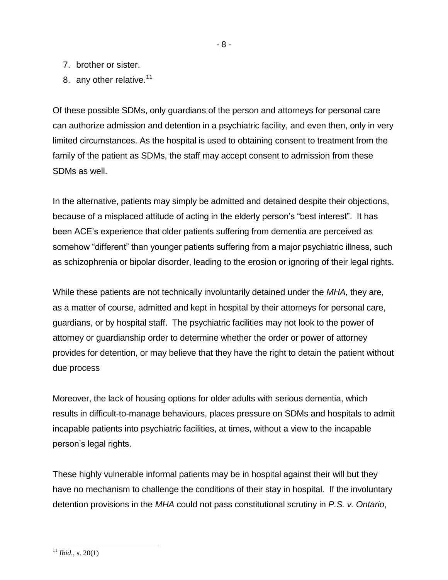- 7. brother or sister.
- 8. any other relative. $11$

Of these possible SDMs, only guardians of the person and attorneys for personal care can authorize admission and detention in a psychiatric facility, and even then, only in very limited circumstances. As the hospital is used to obtaining consent to treatment from the family of the patient as SDMs, the staff may accept consent to admission from these SDMs as well.

In the alternative, patients may simply be admitted and detained despite their objections, because of a misplaced attitude of acting in the elderly person's "best interest". It has been ACE's experience that older patients suffering from dementia are perceived as somehow "different" than younger patients suffering from a major psychiatric illness, such as schizophrenia or bipolar disorder, leading to the erosion or ignoring of their legal rights.

While these patients are not technically involuntarily detained under the *MHA,* they are, as a matter of course, admitted and kept in hospital by their attorneys for personal care, guardians, or by hospital staff. The psychiatric facilities may not look to the power of attorney or guardianship order to determine whether the order or power of attorney provides for detention, or may believe that they have the right to detain the patient without due process

Moreover, the lack of housing options for older adults with serious dementia, which results in difficult-to-manage behaviours, places pressure on SDMs and hospitals to admit incapable patients into psychiatric facilities, at times, without a view to the incapable person's legal rights.

These highly vulnerable informal patients may be in hospital against their will but they have no mechanism to challenge the conditions of their stay in hospital. If the involuntary detention provisions in the *MHA* could not pass constitutional scrutiny in *P.S. v. Ontario*,

 <sup>11</sup> *Ibid.,* s. 20(1)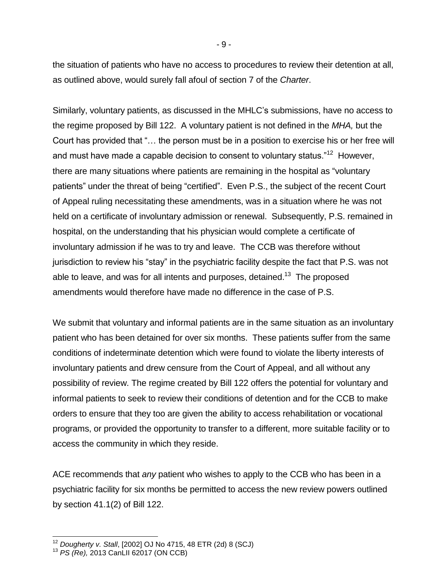the situation of patients who have no access to procedures to review their detention at all, as outlined above, would surely fall afoul of section 7 of the *Charter*.

Similarly, voluntary patients, as discussed in the MHLC's submissions, have no access to the regime proposed by Bill 122. A voluntary patient is not defined in the *MHA,* but the Court has provided that "… the person must be in a position to exercise his or her free will and must have made a capable decision to consent to voluntary status."<sup>12</sup> However, there are many situations where patients are remaining in the hospital as "voluntary patients" under the threat of being "certified". Even P.S., the subject of the recent Court of Appeal ruling necessitating these amendments, was in a situation where he was not held on a certificate of involuntary admission or renewal. Subsequently, P.S. remained in hospital, on the understanding that his physician would complete a certificate of involuntary admission if he was to try and leave. The CCB was therefore without jurisdiction to review his "stay" in the psychiatric facility despite the fact that P.S. was not able to leave, and was for all intents and purposes, detained.<sup>13</sup> The proposed amendments would therefore have made no difference in the case of P.S.

We submit that voluntary and informal patients are in the same situation as an involuntary patient who has been detained for over six months. These patients suffer from the same conditions of indeterminate detention which were found to violate the liberty interests of involuntary patients and drew censure from the Court of Appeal, and all without any possibility of review. The regime created by Bill 122 offers the potential for voluntary and informal patients to seek to review their conditions of detention and for the CCB to make orders to ensure that they too are given the ability to access rehabilitation or vocational programs, or provided the opportunity to transfer to a different, more suitable facility or to access the community in which they reside.

ACE recommends that *any* patient who wishes to apply to the CCB who has been in a psychiatric facility for six months be permitted to access the new review powers outlined by section 41.1(2) of Bill 122.

 $\overline{\phantom{a}}$ 

- 9 -

<sup>12</sup> *Dougherty v. Stall*, [2002] OJ No 4715, 48 ETR (2d) 8 (SCJ)

<sup>13</sup> *PS (Re),* 2013 CanLII 62017 (ON CCB)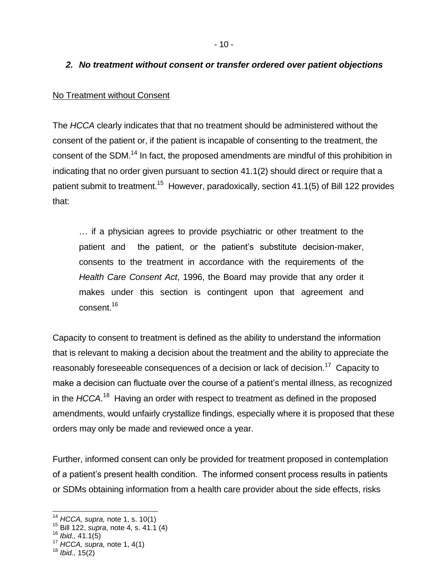### *2. No treatment without consent or transfer ordered over patient objections*

#### No Treatment without Consent

The *HCCA* clearly indicates that that no treatment should be administered without the consent of the patient or, if the patient is incapable of consenting to the treatment, the consent of the SDM.<sup>14</sup> In fact, the proposed amendments are mindful of this prohibition in indicating that no order given pursuant to section 41.1(2) should direct or require that a patient submit to treatment.<sup>15</sup> However, paradoxically, section 41.1(5) of Bill 122 provides that:

… if a physician agrees to provide psychiatric or other treatment to the patient and the patient, or the patient's substitute decision-maker, consents to the treatment in accordance with the requirements of the *Health Care Consent Act*, 1996, the Board may provide that any order it makes under this section is contingent upon that agreement and consent.<sup>16</sup>

Capacity to consent to treatment is defined as the ability to understand the information that is relevant to making a decision about the treatment and the ability to appreciate the reasonably foreseeable consequences of a decision or lack of decision.<sup>17</sup> Capacity to make a decision can fluctuate over the course of a patient's mental illness, as recognized in the *HCCA*.<sup>18</sup> Having an order with respect to treatment as defined in the proposed amendments, would unfairly crystallize findings, especially where it is proposed that these orders may only be made and reviewed once a year.

Further, informed consent can only be provided for treatment proposed in contemplation of a patient's present health condition. The informed consent process results in patients or SDMs obtaining information from a health care provider about the side effects, risks

l

<sup>14</sup> *HCCA, supra,* note [1,](#page-2-0) s. 10(1)

<sup>15</sup> Bill 122, *supra*, note [4,](#page-3-0) s. 41.1 (4)

<sup>16</sup> *Ibid.,* 41.1(5)

<sup>17</sup> *HCCA, supra,* note [1,](#page-2-0) 4(1)

<sup>18</sup> *Ibid.,* 15(2)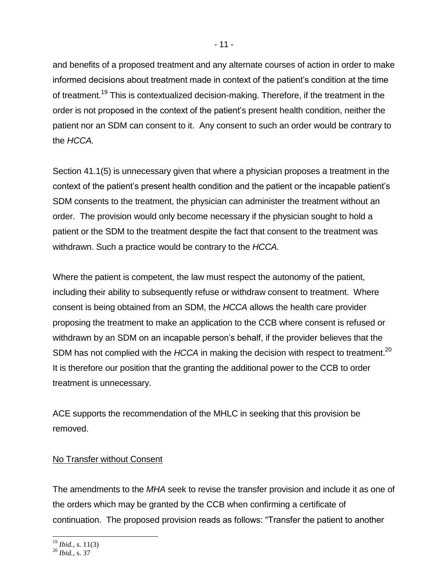and benefits of a proposed treatment and any alternate courses of action in order to make informed decisions about treatment made in context of the patient's condition at the time of treatment.<sup>19</sup> This is contextualized decision-making. Therefore, if the treatment in the order is not proposed in the context of the patient's present health condition, neither the patient nor an SDM can consent to it. Any consent to such an order would be contrary to the *HCCA.*

Section 41.1(5) is unnecessary given that where a physician proposes a treatment in the context of the patient's present health condition and the patient or the incapable patient's SDM consents to the treatment, the physician can administer the treatment without an order. The provision would only become necessary if the physician sought to hold a patient or the SDM to the treatment despite the fact that consent to the treatment was withdrawn. Such a practice would be contrary to the *HCCA.* 

Where the patient is competent, the law must respect the autonomy of the patient, including their ability to subsequently refuse or withdraw consent to treatment. Where consent is being obtained from an SDM, the *HCCA* allows the health care provider proposing the treatment to make an application to the CCB where consent is refused or withdrawn by an SDM on an incapable person's behalf, if the provider believes that the SDM has not complied with the *HCCA* in making the decision with respect to treatment.<sup>20</sup> It is therefore our position that the granting the additional power to the CCB to order treatment is unnecessary.

ACE supports the recommendation of the MHLC in seeking that this provision be removed.

# No Transfer without Consent

The amendments to the *MHA* seek to revise the transfer provision and include it as one of the orders which may be granted by the CCB when confirming a certificate of continuation. The proposed provision reads as follows: "Transfer the patient to another

l <sup>19</sup> *Ibid.,* s. 11(3)

<sup>20</sup> *Ibid.,* s. 37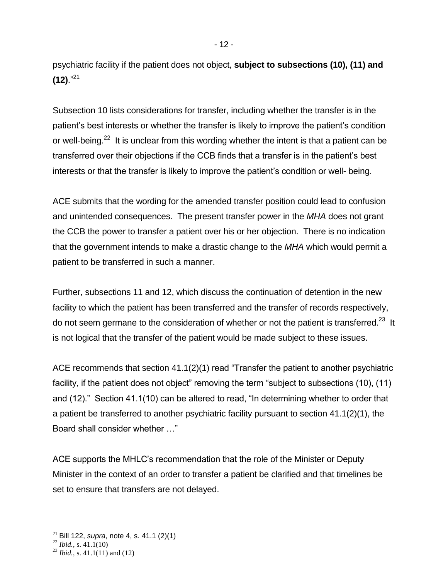psychiatric facility if the patient does not object, **subject to subsections (10), (11) and (12)**."<sup>21</sup>

Subsection 10 lists considerations for transfer, including whether the transfer is in the patient's best interests or whether the transfer is likely to improve the patient's condition or well-being.<sup>22</sup> It is unclear from this wording whether the intent is that a patient can be transferred over their objections if the CCB finds that a transfer is in the patient's best interests or that the transfer is likely to improve the patient's condition or well- being.

ACE submits that the wording for the amended transfer position could lead to confusion and unintended consequences. The present transfer power in the *MHA* does not grant the CCB the power to transfer a patient over his or her objection. There is no indication that the government intends to make a drastic change to the *MHA* which would permit a patient to be transferred in such a manner.

Further, subsections 11 and 12, which discuss the continuation of detention in the new facility to which the patient has been transferred and the transfer of records respectively, do not seem germane to the consideration of whether or not the patient is transferred.<sup>23</sup> It is not logical that the transfer of the patient would be made subject to these issues.

ACE recommends that section 41.1(2)(1) read "Transfer the patient to another psychiatric facility, if the patient does not object" removing the term "subject to subsections (10), (11) and (12)." Section 41.1(10) can be altered to read, "In determining whether to order that a patient be transferred to another psychiatric facility pursuant to section 41.1(2)(1), the Board shall consider whether …"

ACE supports the MHLC's recommendation that the role of the Minister or Deputy Minister in the context of an order to transfer a patient be clarified and that timelines be set to ensure that transfers are not delayed.

 $\overline{a}$ 

<sup>21</sup> Bill 122, *supra*, note [4,](#page-3-0) s. 41.1 (2)(1)

<sup>22</sup> *Ibid.,* s. 41.1(10)

<sup>23</sup> *Ibid.,* s. 41.1(11) and (12)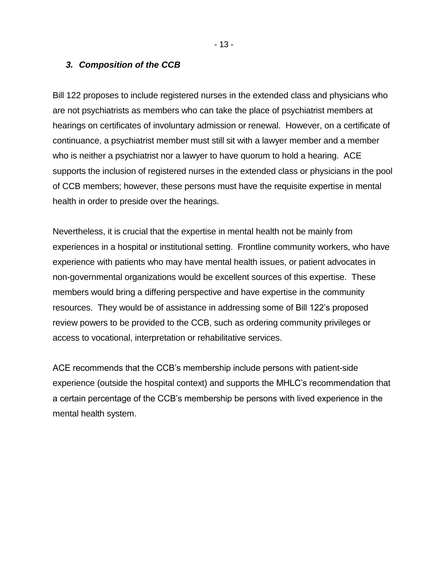#### *3. Composition of the CCB*

Bill 122 proposes to include registered nurses in the extended class and physicians who are not psychiatrists as members who can take the place of psychiatrist members at hearings on certificates of involuntary admission or renewal. However, on a certificate of continuance, a psychiatrist member must still sit with a lawyer member and a member who is neither a psychiatrist nor a lawyer to have quorum to hold a hearing. ACE supports the inclusion of registered nurses in the extended class or physicians in the pool of CCB members; however, these persons must have the requisite expertise in mental health in order to preside over the hearings.

Nevertheless, it is crucial that the expertise in mental health not be mainly from experiences in a hospital or institutional setting. Frontline community workers, who have experience with patients who may have mental health issues, or patient advocates in non-governmental organizations would be excellent sources of this expertise. These members would bring a differing perspective and have expertise in the community resources. They would be of assistance in addressing some of Bill 122's proposed review powers to be provided to the CCB, such as ordering community privileges or access to vocational, interpretation or rehabilitative services.

ACE recommends that the CCB's membership include persons with patient-side experience (outside the hospital context) and supports the MHLC's recommendation that a certain percentage of the CCB's membership be persons with lived experience in the mental health system.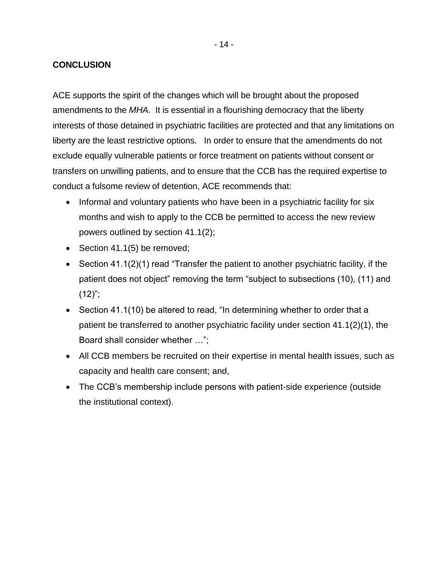#### **CONCLUSION**

ACE supports the spirit of the changes which will be brought about the proposed amendments to the *MHA*. It is essential in a flourishing democracy that the liberty interests of those detained in psychiatric facilities are protected and that any limitations on liberty are the least restrictive options. In order to ensure that the amendments do not exclude equally vulnerable patients or force treatment on patients without consent or transfers on unwilling patients, and to ensure that the CCB has the required expertise to conduct a fulsome review of detention, ACE recommends that:

- Informal and voluntary patients who have been in a psychiatric facility for six months and wish to apply to the CCB be permitted to access the new review powers outlined by section 41.1(2);
- Section 41.1(5) be removed;
- Section 41.1(2)(1) read "Transfer the patient to another psychiatric facility, if the patient does not object" removing the term "subject to subsections (10), (11) and  $(12)$ ";
- Section 41.1(10) be altered to read, "In determining whether to order that a patient be transferred to another psychiatric facility under section 41.1(2)(1), the Board shall consider whether …";
- All CCB members be recruited on their expertise in mental health issues, such as capacity and health care consent; and,
- The CCB's membership include persons with patient-side experience (outside the institutional context).